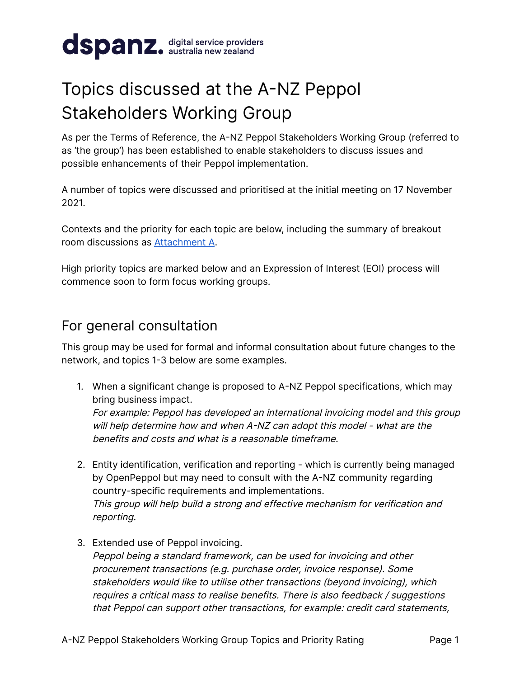

## Topics discussed at the A-NZ Peppol Stakeholders Working Group

As per the Terms of Reference, the A-NZ Peppol Stakeholders Working Group (referred to as 'the group') has been established to enable stakeholders to discuss issues and possible enhancements of their Peppol implementation.

A number of topics were discussed and prioritised at the initial meeting on 17 November 2021.

Contexts and the priority for each topic are below, including the summary of breakout room discussions as [Attachment](#page-5-0) A.

High priority topics are marked below and an Expression of Interest (EOI) process will commence soon to form focus working groups.

## For general consultation

This group may be used for formal and informal consultation about future changes to the network, and topics 1-3 below are some examples.

1. When a significant change is proposed to A-NZ Peppol specifications, which may bring business impact.

For example: Peppol has developed an international invoicing model and this group will help determine how and when A-NZ can adopt this model - what are the benefits and costs and what is a reasonable timeframe.

- 2. Entity identification, verification and reporting which is currently being managed by OpenPeppol but may need to consult with the A-NZ community regarding country-specific requirements and implementations. This group will help build <sup>a</sup> strong and effective mechanism for verification and reporting.
- 3. Extended use of Peppol invoicing.

Peppol being <sup>a</sup> standard framework, can be used for invoicing and other procurement transactions (e.g. purchase order, invoice response). Some stakeholders would like to utilise other transactions (beyond invoicing), which requires <sup>a</sup> critical mass to realise benefits. There is also feedback / suggestions that Peppol can support other transactions, for example: credit card statements,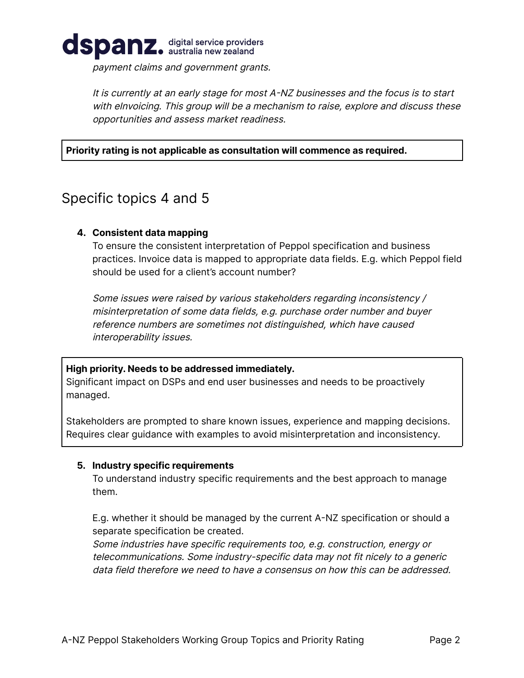

payment claims and government grants.

It is currently at an early stage for most A-NZ businesses and the focus is to start with eInvoicing. This group will be <sup>a</sup> mechanism to raise, explore and discuss these opportunities and assess market readiness.

#### **Priority rating is not applicable as consultation will commence as required.**

### Specific topics 4 and 5

#### **4. Consistent data mapping**

To ensure the consistent interpretation of Peppol specification and business practices. Invoice data is mapped to appropriate data fields. E.g. which Peppol field should be used for a client's account number?

Some issues were raised by various stakeholders regarding inconsistency / misinterpretation of some data fields, e.g. purchase order number and buyer reference numbers are sometimes not distinguished, which have caused interoperability issues.

#### **High priority. Needs to be addressed immediately.**

Significant impact on DSPs and end user businesses and needs to be proactively managed.

Stakeholders are prompted to share known issues, experience and mapping decisions. Requires clear guidance with examples to avoid misinterpretation and inconsistency.

#### **5. Industry specific requirements**

To understand industry specific requirements and the best approach to manage them.

E.g. whether it should be managed by the current A-NZ specification or should a separate specification be created.

Some industries have specific requirements too, e.g. construction, energy or telecommunications. Some industry-specific data may not fit nicely to <sup>a</sup> generic data field therefore we need to have a consensus on how this can be addressed.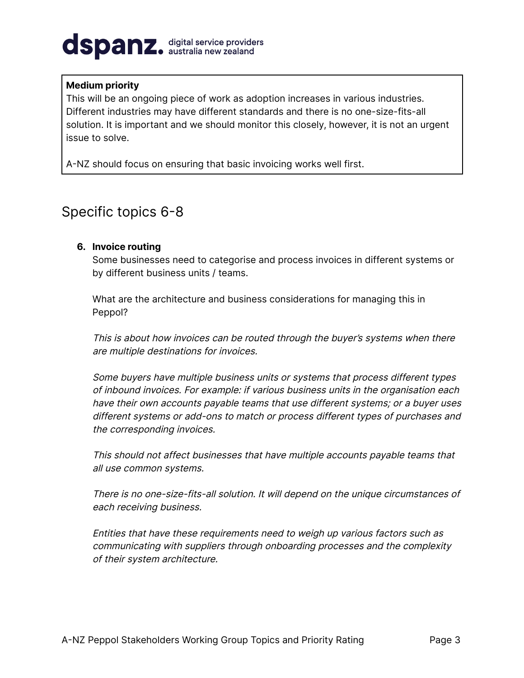# dspanz. digital service providers

#### **Medium priority**

This will be an ongoing piece of work as adoption increases in various industries. Different industries may have different standards and there is no one-size-fits-all solution. It is important and we should monitor this closely, however, it is not an urgent issue to solve.

A-NZ should focus on ensuring that basic invoicing works well first.

## Specific topics 6-8

#### **6. Invoice routing**

Some businesses need to categorise and process invoices in different systems or by different business units / teams.

What are the architecture and business considerations for managing this in Peppol?

This is about how invoices can be routed through the buyer's systems when there are multiple destinations for invoices.

Some buyers have multiple business units or systems that process different types of inbound invoices. For example: if various business units in the organisation each have their own accounts payable teams that use different systems; or <sup>a</sup> buyer uses different systems or add-ons to match or process different types of purchases and the corresponding invoices.

This should not affect businesses that have multiple accounts payable teams that all use common systems.

There is no one-size-fits-all solution. It will depend on the unique circumstances of each receiving business.

Entities that have these requirements need to weigh up various factors such as communicating with suppliers through onboarding processes and the complexity of their system architecture.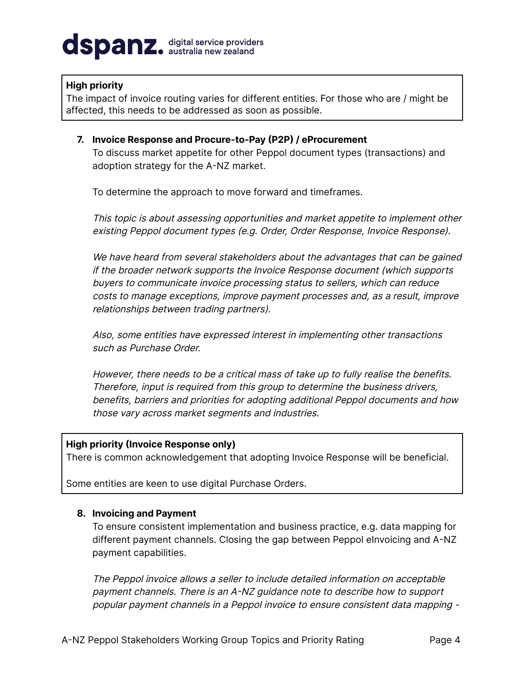# dspanz. digital service providers

#### **High priority**

The impact of invoice routing varies for different entities. For those who are / might be affected, this needs to be addressed as soon as possible.

**7. Invoice Response and Procure-to-Pay (P2P) / eProcurement** To discuss market appetite for other Peppol document types (transactions) and adoption strategy for the A-NZ market.

To determine the approach to move forward and timeframes.

This topic is about assessing opportunities and market appetite to implement other existing Peppol document types (e.g. Order, Order Response, Invoice Response).

We have heard from several stakeholders about the advantages that can be gained if the broader network supports the Invoice Response document (which supports buyers to communicate invoice processing status to sellers, which can reduce costs to manage exceptions, improve payment processes and, as <sup>a</sup> result, improve relationships between trading partners).

Also, some entities have expressed interest in implementing other transactions such as Purchase Order.

However, there needs to be <sup>a</sup> critical mass of take up to fully realise the benefits. Therefore, input is required from this group to determine the business drivers, benefits, barriers and priorities for adopting additional Peppol documents and how those vary across market segments and industries.

#### **High priority (Invoice Response only)**

There is common acknowledgement that adopting Invoice Response will be beneficial.

Some entities are keen to use digital Purchase Orders.

#### **8. Invoicing and Payment**

To ensure consistent implementation and business practice, e.g. data mapping for different payment channels. Closing the gap between Peppol eInvoicing and A-NZ payment capabilities.

The Peppol invoice allows <sup>a</sup> seller to include detailed information on acceptable payment channels. There is an A-NZ guidance note to describe how to support popular payment channels in <sup>a</sup> Peppol invoice to ensure consistent data mapping -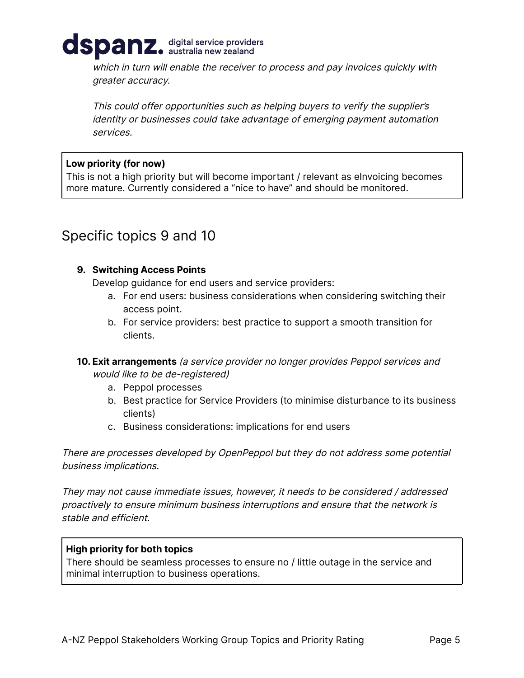

which in turn will enable the receiver to process and pay invoices quickly with greater accuracy.

This could offer opportunities such as helping buyers to verify the supplier's identity or businesses could take advantage of emerging payment automation services.

#### **Low priority (for now)**

This is not a high priority but will become important / relevant as elnvoicing becomes more mature. Currently considered a "nice to have" and should be monitored.

## Specific topics 9 and 10

#### **9. Switching Access Points**

Develop guidance for end users and service providers:

- a. For end users: business considerations when considering switching their access point.
- b. For service providers: best practice to support a smooth transition for clients.
- **10. Exit arrangements** (a service provider no longer provides Peppol services and would like to be de-registered)
	- a. Peppol processes
	- b. Best practice for Service Providers (to minimise disturbance to its business clients)
	- c. Business considerations: implications for end users

There are processes developed by OpenPeppol but they do not address some potential business implications.

They may not cause immediate issues, however, it needs to be considered / addressed proactively to ensure minimum business interruptions and ensure that the network is stable and efficient.

#### **High priority for both topics**

There should be seamless processes to ensure no / little outage in the service and minimal interruption to business operations.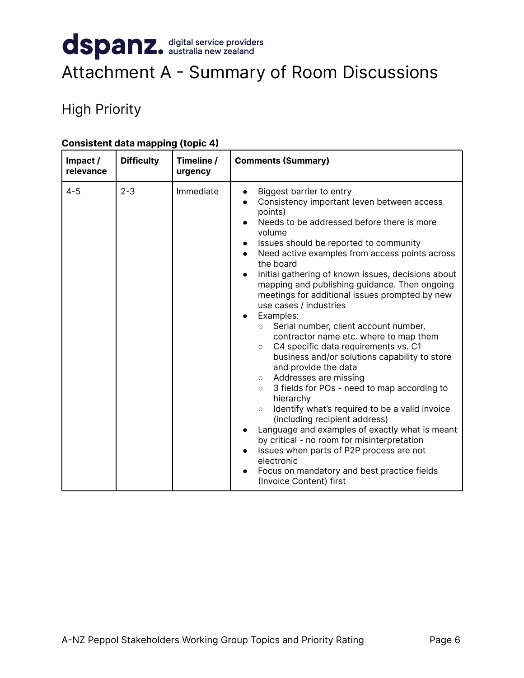## <span id="page-5-0"></span>dspanz. digital service providers Attachment A - Summary of Room Discussions

## High Priority

| Impact/<br>relevance | <b>Difficulty</b> | Timeline /<br>urgency | <b>Comments (Summary)</b>                                                                                                                                                                                                                                                                                                                                                                                                                                                                                                                                                                                                                                                                                                                                                                                                                                                                                                                                                                                                                                                                                                  |
|----------------------|-------------------|-----------------------|----------------------------------------------------------------------------------------------------------------------------------------------------------------------------------------------------------------------------------------------------------------------------------------------------------------------------------------------------------------------------------------------------------------------------------------------------------------------------------------------------------------------------------------------------------------------------------------------------------------------------------------------------------------------------------------------------------------------------------------------------------------------------------------------------------------------------------------------------------------------------------------------------------------------------------------------------------------------------------------------------------------------------------------------------------------------------------------------------------------------------|
| $4 - 5$              | $2 - 3$           | Immediate             | Biggest barrier to entry<br>Consistency important (even between access<br>points)<br>Needs to be addressed before there is more<br>volume<br>Issues should be reported to community<br>Need active examples from access points across<br>the board<br>Initial gathering of known issues, decisions about<br>mapping and publishing guidance. Then ongoing<br>meetings for additional issues prompted by new<br>use cases / industries<br>Examples:<br>Serial number, client account number,<br>$\circ$<br>contractor name etc. where to map them<br>C4 specific data requirements vs. C1<br>$\circ$<br>business and/or solutions capability to store<br>and provide the data<br>Addresses are missing<br>$\circ$<br>3 fields for POs - need to map according to<br>$\circ$<br>hierarchy<br>Identify what's required to be a valid invoice<br>$\circ$<br>(including recipient address)<br>Language and examples of exactly what is meant<br>by critical - no room for misinterpretation<br>Issues when parts of P2P process are not<br>electronic<br>Focus on mandatory and best practice fields<br>(Invoice Content) first |

#### **Consistent data mapping (topic 4)**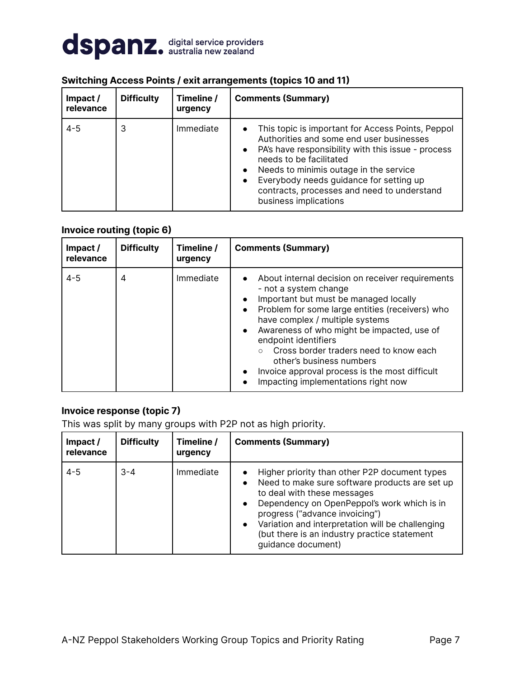

| Impact/<br>relevance | <b>Difficulty</b> | Timeline /<br>urgency | <b>Comments (Summary)</b>                                                                                                                                                                                                                                                                                                                                                          |
|----------------------|-------------------|-----------------------|------------------------------------------------------------------------------------------------------------------------------------------------------------------------------------------------------------------------------------------------------------------------------------------------------------------------------------------------------------------------------------|
| $4 - 5$              | 3                 | Immediate             | This topic is important for Access Points, Peppol<br>$\bullet$<br>Authorities and some end user businesses<br>PA's have responsibility with this issue - process<br>$\bullet$<br>needs to be facilitated<br>Needs to minimis outage in the service<br>$\bullet$<br>Everybody needs guidance for setting up<br>contracts, processes and need to understand<br>business implications |

#### **Switching Access Points / exit arrangements (topics 10 and 11)**

#### **Invoice routing (topic 6)**

| Impact /<br>relevance | <b>Difficulty</b> | Timeline /<br>urgency | <b>Comments (Summary)</b>                                                                                                                                                                                                                                                                                                                                                                                                                                               |
|-----------------------|-------------------|-----------------------|-------------------------------------------------------------------------------------------------------------------------------------------------------------------------------------------------------------------------------------------------------------------------------------------------------------------------------------------------------------------------------------------------------------------------------------------------------------------------|
| $4 - 5$               | 4                 | Immediate             | About internal decision on receiver requirements<br>$\bullet$<br>- not a system change<br>Important but must be managed locally<br>Problem for some large entities (receivers) who<br>have complex / multiple systems<br>Awareness of who might be impacted, use of<br>$\bullet$<br>endpoint identifiers<br>Cross border traders need to know each<br>other's business numbers<br>Invoice approval process is the most difficult<br>Impacting implementations right now |

#### **Invoice response (topic 7)**

This was split by many groups with P2P not as high priority.

| Impact/<br>relevance | <b>Difficulty</b> | Timeline /<br>urgency | <b>Comments (Summary)</b>                                                                                                                                                                                                                                                                                                                                                        |
|----------------------|-------------------|-----------------------|----------------------------------------------------------------------------------------------------------------------------------------------------------------------------------------------------------------------------------------------------------------------------------------------------------------------------------------------------------------------------------|
| $4 - 5$              | $3 - 4$           | Immediate             | Higher priority than other P2P document types<br>Need to make sure software products are set up<br>$\bullet$<br>to deal with these messages<br>Dependency on OpenPeppol's work which is in<br>$\bullet$<br>progress ("advance invoicing")<br>Variation and interpretation will be challenging<br>$\bullet$<br>(but there is an industry practice statement<br>quidance document) |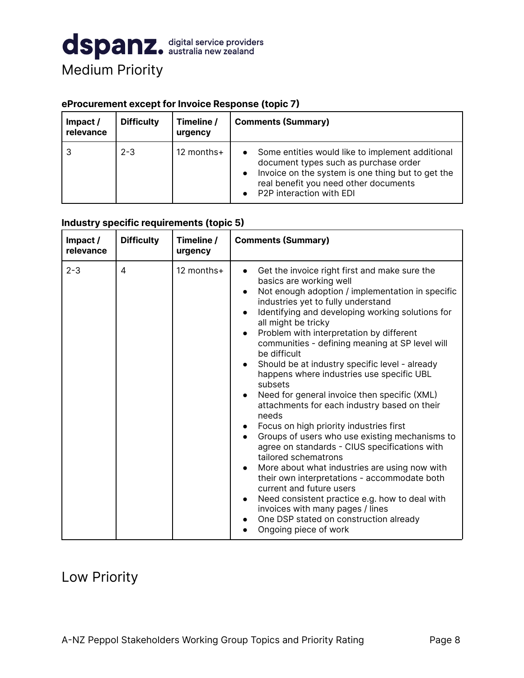

#### **eProcurement except for Invoice Response (topic 7)**

| Impact/<br>relevance | <b>Difficulty</b> | Timeline /<br>urgency | <b>Comments (Summary)</b>                                                                                                                                                                                                                                  |
|----------------------|-------------------|-----------------------|------------------------------------------------------------------------------------------------------------------------------------------------------------------------------------------------------------------------------------------------------------|
|                      | $2 - 3$           | 12 months+            | Some entities would like to implement additional<br>$\bullet$<br>document types such as purchase order<br>Invoice on the system is one thing but to get the<br>$\bullet$<br>real benefit you need other documents<br>P <sub>2</sub> P interaction with EDI |

#### **Industry specific requirements (topic 5)**

| Impact /<br>relevance | <b>Difficulty</b> | Timeline /<br>urgency | <b>Comments (Summary)</b>                                                                                                                                                                                                                                                                                                                                                                                                                                                                                                                                                                                                                                                                                                                                                                                                                                                                                                                                                                                                                                                                                                                   |
|-----------------------|-------------------|-----------------------|---------------------------------------------------------------------------------------------------------------------------------------------------------------------------------------------------------------------------------------------------------------------------------------------------------------------------------------------------------------------------------------------------------------------------------------------------------------------------------------------------------------------------------------------------------------------------------------------------------------------------------------------------------------------------------------------------------------------------------------------------------------------------------------------------------------------------------------------------------------------------------------------------------------------------------------------------------------------------------------------------------------------------------------------------------------------------------------------------------------------------------------------|
| $2 - 3$               | 4                 | 12 months+            | Get the invoice right first and make sure the<br>$\bullet$<br>basics are working well<br>Not enough adoption / implementation in specific<br>$\bullet$<br>industries yet to fully understand<br>Identifying and developing working solutions for<br>all might be tricky<br>Problem with interpretation by different<br>$\bullet$<br>communities - defining meaning at SP level will<br>be difficult<br>Should be at industry specific level - already<br>happens where industries use specific UBL<br>subsets<br>Need for general invoice then specific (XML)<br>attachments for each industry based on their<br>needs<br>Focus on high priority industries first<br>$\bullet$<br>Groups of users who use existing mechanisms to<br>$\bullet$<br>agree on standards - CIUS specifications with<br>tailored schematrons<br>More about what industries are using now with<br>$\bullet$<br>their own interpretations - accommodate both<br>current and future users<br>Need consistent practice e.g. how to deal with<br>invoices with many pages / lines<br>One DSP stated on construction already<br>٠<br>Ongoing piece of work<br>$\bullet$ |

## Low Priority